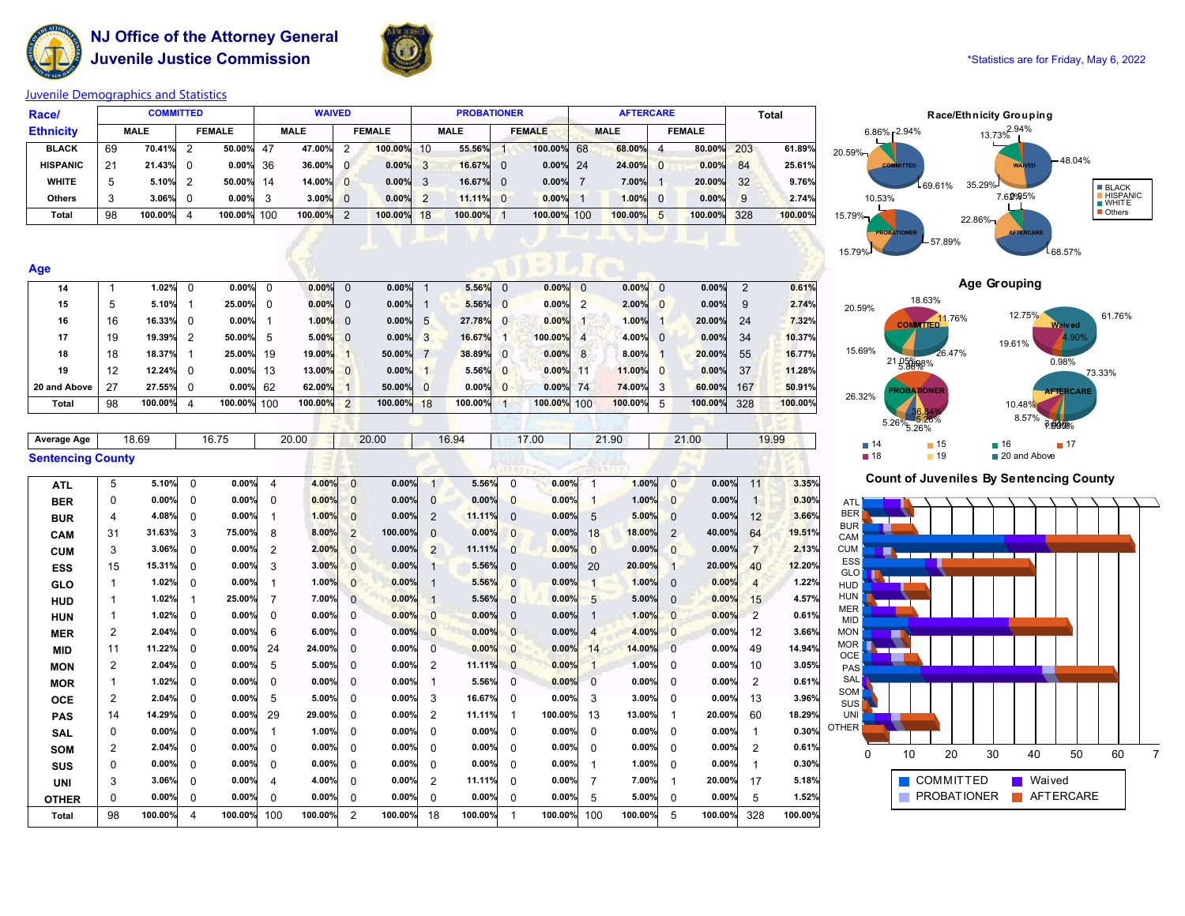

**NJ Office of the Attorney General Juvenile Justice Commission All and Statistics are for Friday**, May 6, 2022



# **Juvenile Demographics and Statistics**

| Race/            | <b>COMMITTED</b> |         |               |             |    | <b>WAIVED</b><br><b>PROBATIONER</b><br><b>AFTERCARE</b> |                |            |               |             |          |               |             | <b>Total</b>   |               |     |         |
|------------------|------------------|---------|---------------|-------------|----|---------------------------------------------------------|----------------|------------|---------------|-------------|----------|---------------|-------------|----------------|---------------|-----|---------|
| <b>Ethnicity</b> | <b>MALE</b>      |         | <b>FEMALE</b> |             |    | <b>MALE</b><br><b>FEMALE</b>                            |                |            |               | <b>MALE</b> |          | <b>FEMALE</b> | <b>MALE</b> |                | <b>FEMALE</b> |     |         |
| <b>BLACK</b>     | 69               | 70.41%  | - 2           | 50.00%      | 47 | 47.00%                                                  | -2             | 100.00%    | 10            | 55.56%      |          | 100.00% 68    | 68.00%      | $\overline{a}$ | 80.00%        | 203 | 61.89%  |
| <b>HISPANIC</b>  | 21               | 21.43%  | - 0           | $0.00\%$    | 36 | 36.00%                                                  | $\Omega$       | 0.00%      | 3             | 16.67%      | $\Omega$ | $0.00\%$ 24   | 24.00%      | $\Omega$       | 0.00%         | 84  | 25.61%  |
| <b>WHITE</b>     | 5                | 5.10%   |               | 50.00%      | 14 | 14.00%                                                  | $\overline{0}$ | 0.00%      | 3             | 16.67%      | $\Omega$ | $0.00\%$      | 7.00%       |                | 20.00%        | 32  | 9.76%   |
| <b>Others</b>    | 3                | 3.06%   |               | $0.00\%$    | 3  | 3.00%                                                   | $\overline{0}$ | 0.00%      | $\mathcal{P}$ | 11.11%      | $\Omega$ | 0.00%         | 1.00%       | $\Omega$       | 0.00%         | 9   | 2.74%   |
| Total            | 98               | 100.00% | 4             | 100.00% 100 |    | 100.00%                                                 | $\overline{2}$ | 100.00% 18 |               | 100.00%     |          | 100.00% 100   | 100.00%     | 5              | 100.00%       | 328 | 100.00% |
|                  |                  |         |               |             |    |                                                         |                |            |               |             |          |               |             |                |               |     |         |
|                  |                  |         |               |             |    |                                                         |                |            |               |             |          |               |             |                |               |     |         |

| Age          |    |         |          |             |    |         |                |         |                |         |          |             |    |         |                |                                              |               |         |
|--------------|----|---------|----------|-------------|----|---------|----------------|---------|----------------|---------|----------|-------------|----|---------|----------------|----------------------------------------------|---------------|---------|
| 14           |    | 1.02%   |          | $0.00\%$    |    | 0.00%   |                | 0.00%   |                | 5.56%   | $\Omega$ | $0.00\%$ 0  |    | 0.00%   | $\Omega$       | 0.00%                                        | $\mathcal{P}$ | 0.61%   |
| 15           | 5  | 5.10%   |          | 25.00%      |    | 0.00%   | $\Omega$       | 0.00%   |                | 5.56%   | $\Omega$ | $0.00\%$    |    | 2.00%   | $\mathbf{0}$   | 0.00%                                        | 9             | 2.74%   |
| 16           | 16 | 16.33%  | $\Omega$ | 0.00%       |    | 1.00%   | $\overline{0}$ | 0.00%   | $5^{\circ}$    | 27.78%  | $\Omega$ | 0.00%       |    | 1.00%   |                | 20.00%                                       | 24            | 7.32%   |
| 17           | 19 | 19.39%  |          | 50.00%      | 5  | 5.00%   | $\overline{0}$ | 0.00%   | $\overline{3}$ | 16.67%  |          | 100.00% 4   |    | 4.00%   | $\Omega$       | 0.00%                                        | 34            | 10.37%  |
| 18           | 18 | 18.37%  |          | 25.00%      | 19 | 19.00%  |                | 50.00%  |                | 38.89%  | $\Omega$ | $0.00\%$ 8  |    | 8.00%   |                | 20.00%                                       | 55            | 16.77%  |
| 19           | 12 | 12.24%  | - 0      | $0.00\%$    | 13 | 13.00%  | $\overline{0}$ | 0.00%   |                | 5.56%   | $\Omega$ | 0.00%       | 11 | 11.00%  | $\Omega$       | 0.00%                                        | 37            | 11.28%  |
| 20 and Above | 27 | 27.55%  | $\Omega$ | $0.00\%$    | 62 | 62.00%  |                | 50.00%  |                | 0.00%   | $\Omega$ | $0.00\%$ 74 |    | 74.00%  | $\overline{3}$ | 60.00%                                       | 167           | 50.91%  |
| Total        | 98 | 100.00% | 4        | 100.00% 100 |    | 100.00% | 2              | 100.00% | 18             | 100.00% |          | 100.00% 100 |    | 100.00% | 5              | 100.00%                                      | 328           | 100.00% |
|              |    |         |          |             |    |         |                |         |                |         |          |             |    |         |                |                                              |               |         |
|              |    |         |          |             |    |         |                |         |                |         |          |             |    | _____   |                | the control of the control of the control of |               |         |

| Average Age              | 18.69 | 16.75 | 20.00 | 20.00 | 16.94 | 17.00 | 21.90 | 21.00 | 19.99 |
|--------------------------|-------|-------|-------|-------|-------|-------|-------|-------|-------|
| <b>Sentencing County</b> |       |       |       |       |       |       |       |       |       |

| ATL          | 5              | 5.10%   | $\Omega$ | 0.00%   | 4        | 4.00%   | $\Omega$       | 0.00%   |          | 5.56%   | $\Omega$ | 0.00%   |                | 1.00%   | $\Omega$     | 0.00%   | 11             | 3.35%   |
|--------------|----------------|---------|----------|---------|----------|---------|----------------|---------|----------|---------|----------|---------|----------------|---------|--------------|---------|----------------|---------|
| <b>BER</b>   | 0              | 0.00%   | 0        | 0.00%   | 0        | 0.00%   | $\Omega$       | 0.00%   | 0        | 0.00%   | 0        | 0.00%   |                | 1.00%   | $\Omega$     | 0.00%   |                | 0.30%   |
| <b>BUR</b>   | 4              | 4.08%   | 0        | 0.00%   |          | 1.00%   | $\Omega$       | 0.00%   | 2        | 11.11%  | 0        | 0.00%   | 5              | 5.00%   | $\Omega$     | 0.00%   | 12             | 3.66%   |
| CAM          | 31             | 31.63%  | 3        | 75.00%  | 8        | 8.00%   | 2              | 100.00% | $\Omega$ | 0.00%   | 0        | 0.00%   | 18             | 18.00%  | 2            | 40.00%  | 64             | 19.51%  |
| <b>CUM</b>   | 3              | 3.06%   | 0        | 0.00%   | 2        | 2.00%   | $\Omega$       | 0.00%   | 2        | 11.11%  | 0        | 0.00%   | $\Omega$       | 0.00%   | $\Omega$     | 0.00%   | $\overline{7}$ | 2.13%   |
| <b>ESS</b>   | 15             | 15.31%  | 0        | 0.00%   | 3        | 3.00%   | $\Omega$       | 0.00%   |          | 5.56%   | 0        | 0.00%   | 20             | 20.00%  | $\mathbf{1}$ | 20.00%  | 40             | 12.20%  |
| <b>GLO</b>   | 1              | 1.02%   | 0        | 0.00%   |          | 1.00%   | $\mathbf{0}$   | 0.00%   |          | 5.56%   | 0        | 0.00%   |                | 1.00%   | $\Omega$     | 0.00%   | 4              | 1.22%   |
| <b>HUD</b>   |                | 1.02%   |          | 25.00%  |          | 7.00%   | $\Omega$       | 0.00%   |          | 5.56%   | 0        | 0.00%   | 5              | 5.00%   | $\Omega$     | 0.00%   | 15             | 4.57%   |
| <b>HUN</b>   |                | 1.02%   | 0        | 0.00%   | 0        | 0.00%   | 0              | 0.00%   | $\Omega$ | 0.00%   | 0        | 0.00%   |                | 1.00%   | $\Omega$     | 0.00%   | 2              | 0.61%   |
| MER          | 2              | 2.04%   | 0        | 0.00%   | 6        | 6.00%   | 0              | 0.00%   | $\Omega$ | 0.00%   | 0        | 0.00%   | $\overline{4}$ | 4.00%   | $\Omega$     | 0.00%   | 12             | 3.66%   |
| <b>MID</b>   | 11             | 11.22%  | 0        | 0.00%   | 24       | 24.00%  | 0              | 0.00%   | 0        | 0.00%   | 0        | 0.00%   | 14             | 14.00%  | 0            | 0.00%   | 49             | 14.94%  |
| <b>MON</b>   | 2              | 2.04%   | 0        | 0.00%   | 5        | 5.00%   | 0              | 0.00%   | 2        | 11.11%  | $\Omega$ | 0.00%   |                | 1.00%   | $\Omega$     | 0.00%   | 10             | 3.05%   |
| <b>MOR</b>   |                | 1.02%   | 0        | 0.00%   | 0        | 0.00%   |                | 0.00%   |          | 5.56%   | 0        | 0.00%   | $\Omega$       | 0.00%   | 0            | 0.00%   | $\overline{2}$ | 0.61%   |
| <b>OCE</b>   | $\overline{2}$ | 2.04%   | 0        | 0.00%   | 5        | 5.00%   | 0              | 0.00%   | 3        | 16.67%  | 0        | 0.00%   | 3              | 3.00%   | 0            | 0.00%   | 13             | 3.96%   |
| <b>PAS</b>   | 14             | 14.29%  | 0        | 0.00%   | 29       | 29.00%  |                | 0.00%   | 2        | 11.11%  |          | 100.00% | 13             | 13.00%  |              | 20.00%  | 60             | 18.29%  |
| SAL          | 0              | 0.00%   | 0        | 0.00%   |          | 1.00%   | 0              | 0.00%   | 0        | 0.00%   | 0        | 0.00%   | $\Omega$       | 0.00%   | 0            | 0.00%   |                | 0.30%   |
| SOM          | 2              | 2.04%   | 0        | 0.00%   | 0        | 0.00%   |                | 0.00%   | 0        | 0.00%   | 0        | 0.00%   | 0              | 0.00%   | 0            | 0.00%   | 2              | 0.61%   |
| <b>SUS</b>   | 0              | 0.00%   | 0        | 0.00%   | $\Omega$ | 0.00%   | 0              | 0.00%   | 0        | 0.00%   | 0        | 0.00%   |                | 1.00%   | 0            | 0.00%   |                | 0.30%   |
| <b>UNI</b>   | 3              | 3.06%   | 0        | 0.00%   | 4        | 4.00%   | 0              | 0.00%   | 2        | 11.11%  | 0        | 0.00%   | 7              | 7.00%   |              | 20.00%  | 17             | 5.18%   |
| <b>OTHER</b> | 0              | 0.00%   | 0        | 0.00%   | 0        | 0.00%   | 0              | 0.00%   | 0        | 0.00%   | 0        | 0.00%   | 5              | 5.00%   | 0            | 0.00%   | 5              | 1.52%   |
| Total        | 98             | 100.00% | 4        | 100.00% | 100      | 100.00% | $\overline{c}$ | 100.00% | 18       | 100.00% |          | 100.00% | 100            | 100.00% | 5            | 100.00% | 328            | 100.00% |
|              |                |         |          |         |          |         |                |         |          |         |          |         |                |         |              |         |                |         |





**Count of Juveniles By Sentencing County**